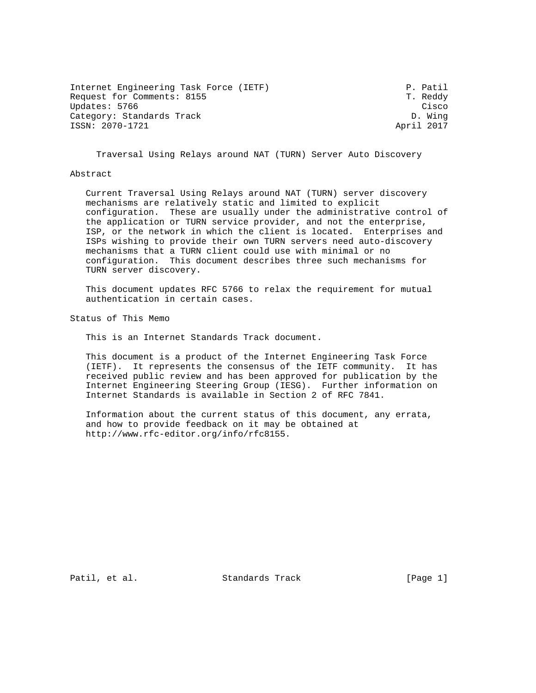| Internet Engineering Task Force (IETF) | P. Patil   |
|----------------------------------------|------------|
| Request for Comments: 8155             | T. Reddy   |
| Updates: 5766                          | Cisco      |
| Category: Standards Track              | D. Wing    |
| ISSN: 2070-1721                        | April 2017 |

Traversal Using Relays around NAT (TURN) Server Auto Discovery

#### Abstract

 Current Traversal Using Relays around NAT (TURN) server discovery mechanisms are relatively static and limited to explicit configuration. These are usually under the administrative control of the application or TURN service provider, and not the enterprise, ISP, or the network in which the client is located. Enterprises and ISPs wishing to provide their own TURN servers need auto-discovery mechanisms that a TURN client could use with minimal or no configuration. This document describes three such mechanisms for TURN server discovery.

 This document updates RFC 5766 to relax the requirement for mutual authentication in certain cases.

Status of This Memo

This is an Internet Standards Track document.

 This document is a product of the Internet Engineering Task Force (IETF). It represents the consensus of the IETF community. It has received public review and has been approved for publication by the Internet Engineering Steering Group (IESG). Further information on Internet Standards is available in Section 2 of RFC 7841.

 Information about the current status of this document, any errata, and how to provide feedback on it may be obtained at http://www.rfc-editor.org/info/rfc8155.

Patil, et al. Standards Track [Page 1]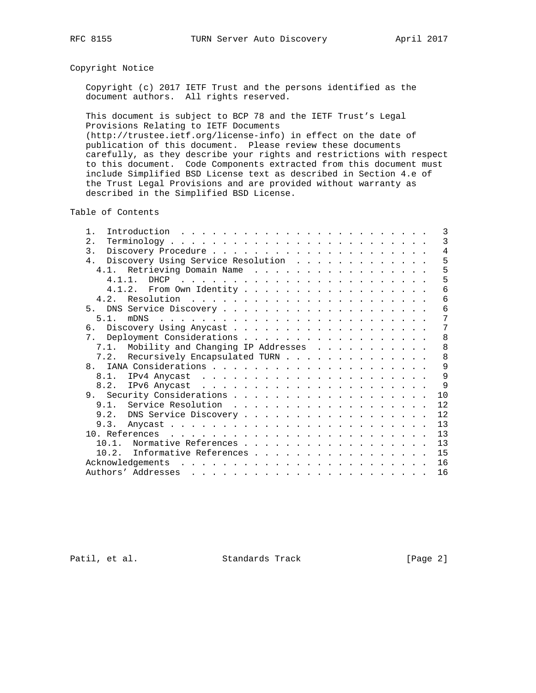# Copyright Notice

 Copyright (c) 2017 IETF Trust and the persons identified as the document authors. All rights reserved.

 This document is subject to BCP 78 and the IETF Trust's Legal Provisions Relating to IETF Documents (http://trustee.ietf.org/license-info) in effect on the date of publication of this document. Please review these documents carefully, as they describe your rights and restrictions with respect to this document. Code Components extracted from this document must include Simplified BSD License text as described in Section 4.e of the Trust Legal Provisions and are provided without warranty as described in the Simplified BSD License.

Table of Contents

| $1$ .                                                                                                                                                                                                                                                     | 3            |
|-----------------------------------------------------------------------------------------------------------------------------------------------------------------------------------------------------------------------------------------------------------|--------------|
| 2.                                                                                                                                                                                                                                                        | 3            |
| 3.                                                                                                                                                                                                                                                        | 4            |
| 4. Discovery Using Service Resolution                                                                                                                                                                                                                     | 5            |
| 4.1. Retrieving Domain Name                                                                                                                                                                                                                               | 5            |
|                                                                                                                                                                                                                                                           | 5            |
| 4.1.2. From Own Identity                                                                                                                                                                                                                                  | 6            |
|                                                                                                                                                                                                                                                           | 6            |
|                                                                                                                                                                                                                                                           | 6            |
| 5.1.<br>mDN <sub>S</sub><br>and a construction of the construction of the construction of the construction of the construction of the construction of the construction of the construction of the construction of the construction of the construction of | 7            |
|                                                                                                                                                                                                                                                           | 7            |
| 7 <sub>1</sub>                                                                                                                                                                                                                                            | 8            |
| 7.1. Mobility and Changing IP Addresses                                                                                                                                                                                                                   | 8            |
| 7.2. Recursively Encapsulated TURN                                                                                                                                                                                                                        | 8            |
| 8 <sub>z</sub>                                                                                                                                                                                                                                            | 9            |
| $8.1$ .                                                                                                                                                                                                                                                   | 9            |
| 8.2.                                                                                                                                                                                                                                                      | $\mathsf{Q}$ |
|                                                                                                                                                                                                                                                           | 10           |
|                                                                                                                                                                                                                                                           | 12           |
|                                                                                                                                                                                                                                                           | 12           |
| 9.3.                                                                                                                                                                                                                                                      | 13           |
|                                                                                                                                                                                                                                                           | 13           |
| Normative References<br>10.1.                                                                                                                                                                                                                             | 13           |
| Informative References<br>10.2.                                                                                                                                                                                                                           | 15           |
| Acknowledgements                                                                                                                                                                                                                                          | 16           |
| Authors' Addresses                                                                                                                                                                                                                                        | 16           |
|                                                                                                                                                                                                                                                           |              |

Patil, et al. Standards Track [Page 2]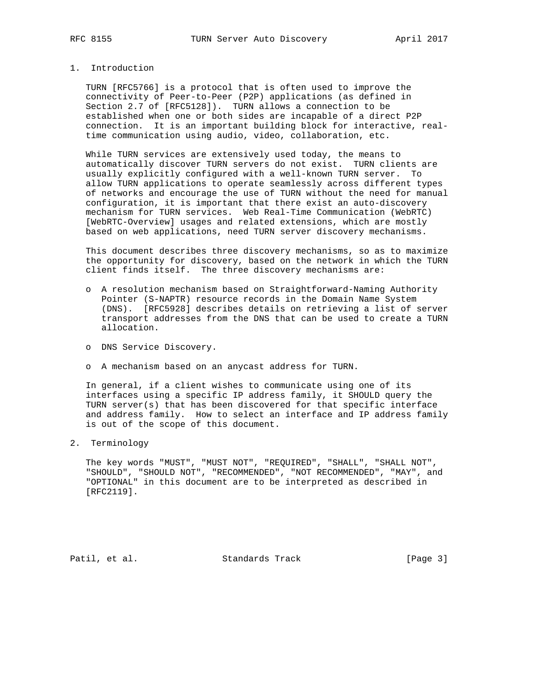# 1. Introduction

 TURN [RFC5766] is a protocol that is often used to improve the connectivity of Peer-to-Peer (P2P) applications (as defined in Section 2.7 of [RFC5128]). TURN allows a connection to be established when one or both sides are incapable of a direct P2P connection. It is an important building block for interactive, real time communication using audio, video, collaboration, etc.

 While TURN services are extensively used today, the means to automatically discover TURN servers do not exist. TURN clients are usually explicitly configured with a well-known TURN server. To allow TURN applications to operate seamlessly across different types of networks and encourage the use of TURN without the need for manual configuration, it is important that there exist an auto-discovery mechanism for TURN services. Web Real-Time Communication (WebRTC) [WebRTC-Overview] usages and related extensions, which are mostly based on web applications, need TURN server discovery mechanisms.

 This document describes three discovery mechanisms, so as to maximize the opportunity for discovery, based on the network in which the TURN client finds itself. The three discovery mechanisms are:

- o A resolution mechanism based on Straightforward-Naming Authority Pointer (S-NAPTR) resource records in the Domain Name System (DNS). [RFC5928] describes details on retrieving a list of server transport addresses from the DNS that can be used to create a TURN allocation.
- o DNS Service Discovery.
- o A mechanism based on an anycast address for TURN.

 In general, if a client wishes to communicate using one of its interfaces using a specific IP address family, it SHOULD query the TURN server(s) that has been discovered for that specific interface and address family. How to select an interface and IP address family is out of the scope of this document.

2. Terminology

 The key words "MUST", "MUST NOT", "REQUIRED", "SHALL", "SHALL NOT", "SHOULD", "SHOULD NOT", "RECOMMENDED", "NOT RECOMMENDED", "MAY", and "OPTIONAL" in this document are to be interpreted as described in [RFC2119].

Patil, et al. Standards Track [Page 3]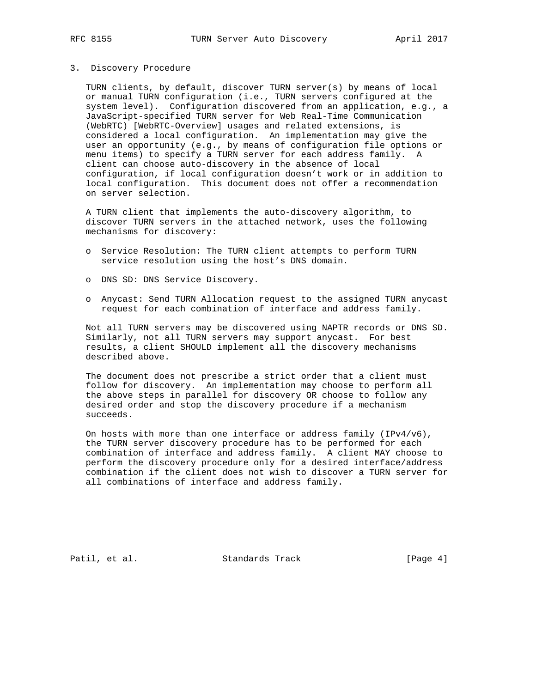#### 3. Discovery Procedure

 TURN clients, by default, discover TURN server(s) by means of local or manual TURN configuration (i.e., TURN servers configured at the system level). Configuration discovered from an application, e.g., a JavaScript-specified TURN server for Web Real-Time Communication (WebRTC) [WebRTC-Overview] usages and related extensions, is considered a local configuration. An implementation may give the user an opportunity (e.g., by means of configuration file options or menu items) to specify a TURN server for each address family. A client can choose auto-discovery in the absence of local configuration, if local configuration doesn't work or in addition to local configuration. This document does not offer a recommendation on server selection.

 A TURN client that implements the auto-discovery algorithm, to discover TURN servers in the attached network, uses the following mechanisms for discovery:

- o Service Resolution: The TURN client attempts to perform TURN service resolution using the host's DNS domain.
- o DNS SD: DNS Service Discovery.
- o Anycast: Send TURN Allocation request to the assigned TURN anycast request for each combination of interface and address family.

 Not all TURN servers may be discovered using NAPTR records or DNS SD. Similarly, not all TURN servers may support anycast. For best results, a client SHOULD implement all the discovery mechanisms described above.

 The document does not prescribe a strict order that a client must follow for discovery. An implementation may choose to perform all the above steps in parallel for discovery OR choose to follow any desired order and stop the discovery procedure if a mechanism succeeds.

On hosts with more than one interface or address family  $(IPv4/v6)$ , the TURN server discovery procedure has to be performed for each combination of interface and address family. A client MAY choose to perform the discovery procedure only for a desired interface/address combination if the client does not wish to discover a TURN server for all combinations of interface and address family.

Patil, et al. Standards Track [Page 4]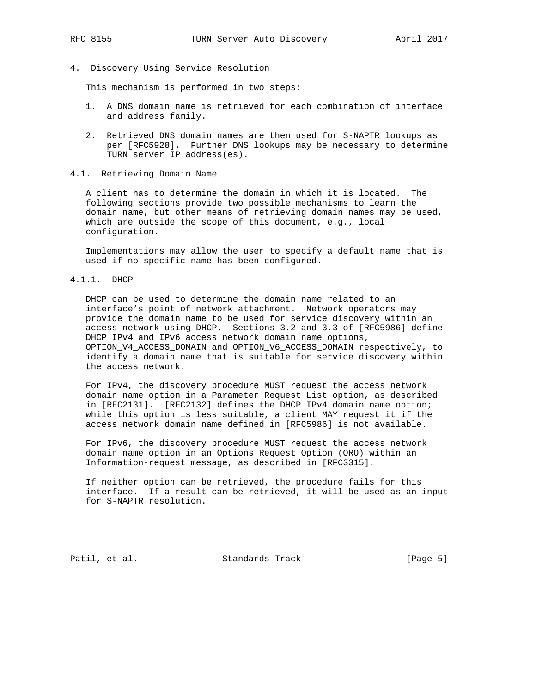- 
- 4. Discovery Using Service Resolution

This mechanism is performed in two steps:

- 1. A DNS domain name is retrieved for each combination of interface and address family.
- 2. Retrieved DNS domain names are then used for S-NAPTR lookups as per [RFC5928]. Further DNS lookups may be necessary to determine TURN server IP address(es).
- 4.1. Retrieving Domain Name

 A client has to determine the domain in which it is located. The following sections provide two possible mechanisms to learn the domain name, but other means of retrieving domain names may be used, which are outside the scope of this document, e.g., local configuration.

 Implementations may allow the user to specify a default name that is used if no specific name has been configured.

4.1.1. DHCP

 DHCP can be used to determine the domain name related to an interface's point of network attachment. Network operators may provide the domain name to be used for service discovery within an access network using DHCP. Sections 3.2 and 3.3 of [RFC5986] define DHCP IPv4 and IPv6 access network domain name options, OPTION\_V4\_ACCESS\_DOMAIN and OPTION\_V6\_ACCESS\_DOMAIN respectively, to identify a domain name that is suitable for service discovery within the access network.

 For IPv4, the discovery procedure MUST request the access network domain name option in a Parameter Request List option, as described in [RFC2131]. [RFC2132] defines the DHCP IPv4 domain name option; while this option is less suitable, a client MAY request it if the access network domain name defined in [RFC5986] is not available.

 For IPv6, the discovery procedure MUST request the access network domain name option in an Options Request Option (ORO) within an Information-request message, as described in [RFC3315].

 If neither option can be retrieved, the procedure fails for this interface. If a result can be retrieved, it will be used as an input for S-NAPTR resolution.

Patil, et al. Standards Track [Page 5]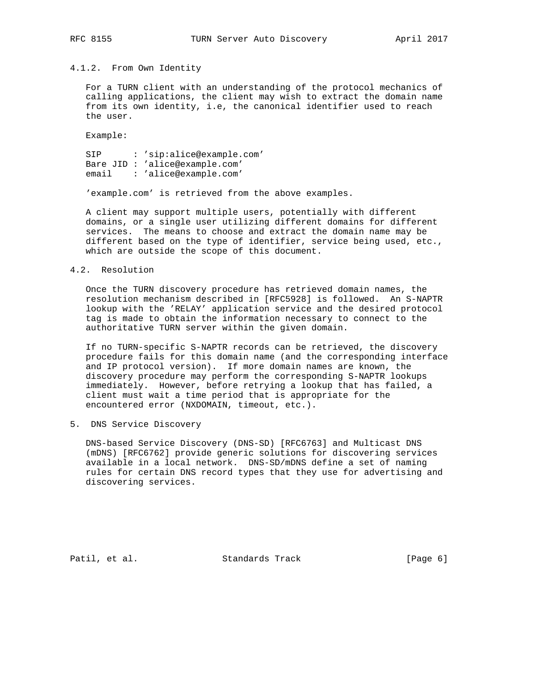#### 4.1.2. From Own Identity

 For a TURN client with an understanding of the protocol mechanics of calling applications, the client may wish to extract the domain name from its own identity, i.e, the canonical identifier used to reach the user.

Example:

 SIP : 'sip:alice@example.com' Bare JID : 'alice@example.com' email : 'alice@example.com'

'example.com' is retrieved from the above examples.

 A client may support multiple users, potentially with different domains, or a single user utilizing different domains for different services. The means to choose and extract the domain name may be different based on the type of identifier, service being used, etc., which are outside the scope of this document.

### 4.2. Resolution

 Once the TURN discovery procedure has retrieved domain names, the resolution mechanism described in [RFC5928] is followed. An S-NAPTR lookup with the 'RELAY' application service and the desired protocol tag is made to obtain the information necessary to connect to the authoritative TURN server within the given domain.

 If no TURN-specific S-NAPTR records can be retrieved, the discovery procedure fails for this domain name (and the corresponding interface and IP protocol version). If more domain names are known, the discovery procedure may perform the corresponding S-NAPTR lookups immediately. However, before retrying a lookup that has failed, a client must wait a time period that is appropriate for the encountered error (NXDOMAIN, timeout, etc.).

5. DNS Service Discovery

 DNS-based Service Discovery (DNS-SD) [RFC6763] and Multicast DNS (mDNS) [RFC6762] provide generic solutions for discovering services available in a local network. DNS-SD/mDNS define a set of naming rules for certain DNS record types that they use for advertising and discovering services.

Patil, et al. Standards Track [Page 6]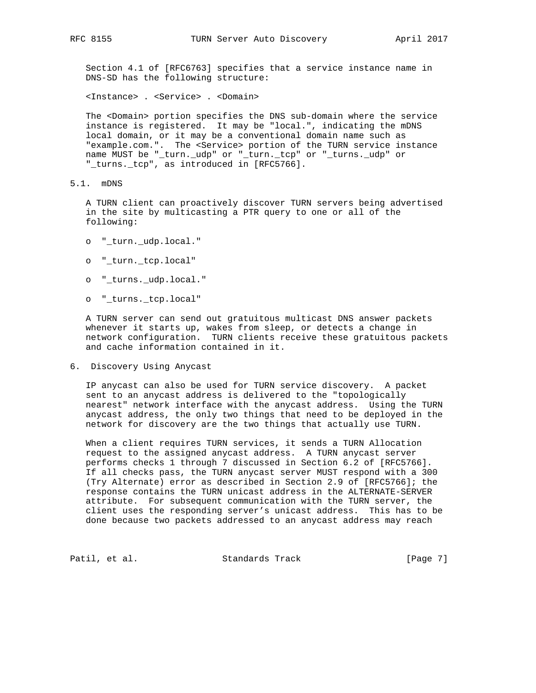Section 4.1 of [RFC6763] specifies that a service instance name in DNS-SD has the following structure:

<Instance> . <Service> . <Domain>

 The <Domain> portion specifies the DNS sub-domain where the service instance is registered. It may be "local.", indicating the mDNS local domain, or it may be a conventional domain name such as "example.com.". The <Service> portion of the TURN service instance name MUST be "\_turn.\_udp" or "\_turn.\_tcp" or "\_turns.\_udp" or "\_turns.\_tcp", as introduced in [RFC5766].

5.1. mDNS

 A TURN client can proactively discover TURN servers being advertised in the site by multicasting a PTR query to one or all of the following:

- o "\_turn.\_udp.local."
- o "\_turn.\_tcp.local"
- o "\_turns.\_udp.local."
- o "\_turns.\_tcp.local"

 A TURN server can send out gratuitous multicast DNS answer packets whenever it starts up, wakes from sleep, or detects a change in network configuration. TURN clients receive these gratuitous packets and cache information contained in it.

6. Discovery Using Anycast

 IP anycast can also be used for TURN service discovery. A packet sent to an anycast address is delivered to the "topologically nearest" network interface with the anycast address. Using the TURN anycast address, the only two things that need to be deployed in the network for discovery are the two things that actually use TURN.

 When a client requires TURN services, it sends a TURN Allocation request to the assigned anycast address. A TURN anycast server performs checks 1 through 7 discussed in Section 6.2 of [RFC5766]. If all checks pass, the TURN anycast server MUST respond with a 300 (Try Alternate) error as described in Section 2.9 of [RFC5766]; the response contains the TURN unicast address in the ALTERNATE-SERVER attribute. For subsequent communication with the TURN server, the client uses the responding server's unicast address. This has to be done because two packets addressed to an anycast address may reach

Patil, et al. Standards Track [Page 7]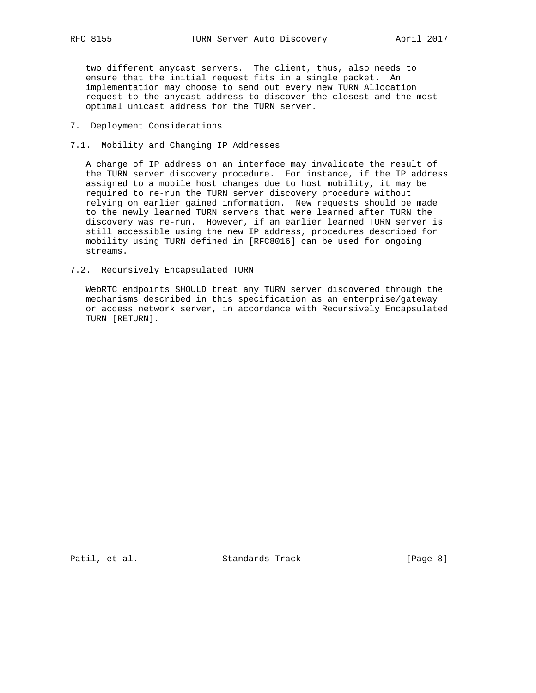two different anycast servers. The client, thus, also needs to ensure that the initial request fits in a single packet. An implementation may choose to send out every new TURN Allocation request to the anycast address to discover the closest and the most optimal unicast address for the TURN server.

- 7. Deployment Considerations
- 7.1. Mobility and Changing IP Addresses

 A change of IP address on an interface may invalidate the result of the TURN server discovery procedure. For instance, if the IP address assigned to a mobile host changes due to host mobility, it may be required to re-run the TURN server discovery procedure without relying on earlier gained information. New requests should be made to the newly learned TURN servers that were learned after TURN the discovery was re-run. However, if an earlier learned TURN server is still accessible using the new IP address, procedures described for mobility using TURN defined in [RFC8016] can be used for ongoing streams.

7.2. Recursively Encapsulated TURN

 WebRTC endpoints SHOULD treat any TURN server discovered through the mechanisms described in this specification as an enterprise/gateway or access network server, in accordance with Recursively Encapsulated TURN [RETURN].

Patil, et al. Standards Track [Page 8]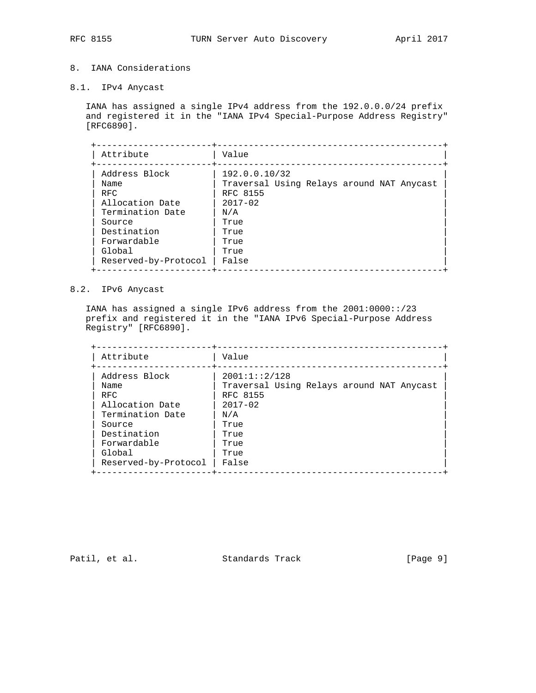# 8. IANA Considerations

8.1. IPv4 Anycast

 IANA has assigned a single IPv4 address from the 192.0.0.0/24 prefix and registered it in the "IANA IPv4 Special-Purpose Address Registry" [RFC6890].

| Attribute            | Value                                     |
|----------------------|-------------------------------------------|
| Address Block        | 192.0.0.10/32                             |
| Name                 | Traversal Using Relays around NAT Anycast |
| <b>RFC</b>           | RFC 8155                                  |
| Allocation Date      | $2017 - 02$                               |
| Termination Date     | N/A                                       |
| Source               | True                                      |
| Destination          | True                                      |
| Forwardable          | True                                      |
| Global               | True                                      |
| Reserved-by-Protocol | False                                     |

## 8.2. IPv6 Anycast

 IANA has assigned a single IPv6 address from the 2001:0000::/23 prefix and registered it in the "IANA IPv6 Special-Purpose Address Registry" [RFC6890].

| Attribute            | Value                                     |
|----------------------|-------------------------------------------|
| Address Block        | 2001:1::2/128                             |
| Name                 | Traversal Using Relays around NAT Anycast |
| <b>RFC</b>           | RFC 8155                                  |
| Allocation Date      | $2017 - 02$                               |
| Termination Date     | N/A                                       |
| Source               | True                                      |
| Destination          | True                                      |
| Forwardable          | True                                      |
| Global               | True                                      |
| Reserved-by-Protocol | False                                     |

Patil, et al. Standards Track [Page 9]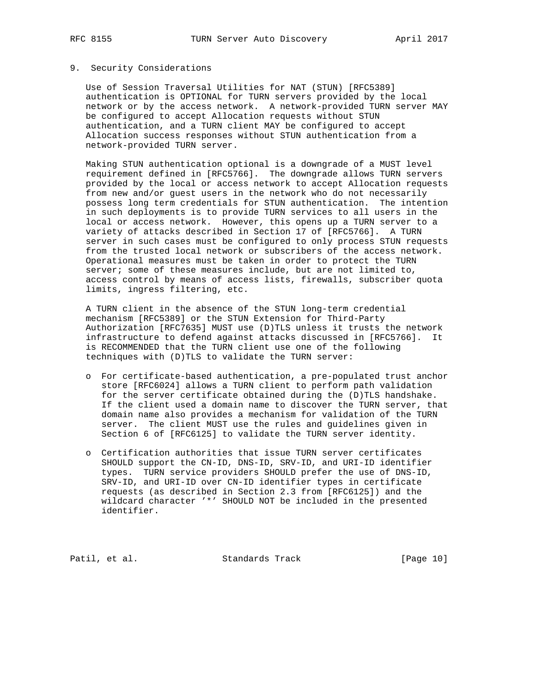## 9. Security Considerations

 Use of Session Traversal Utilities for NAT (STUN) [RFC5389] authentication is OPTIONAL for TURN servers provided by the local network or by the access network. A network-provided TURN server MAY be configured to accept Allocation requests without STUN authentication, and a TURN client MAY be configured to accept Allocation success responses without STUN authentication from a network-provided TURN server.

 Making STUN authentication optional is a downgrade of a MUST level requirement defined in [RFC5766]. The downgrade allows TURN servers provided by the local or access network to accept Allocation requests from new and/or guest users in the network who do not necessarily possess long term credentials for STUN authentication. The intention in such deployments is to provide TURN services to all users in the local or access network. However, this opens up a TURN server to a variety of attacks described in Section 17 of [RFC5766]. A TURN server in such cases must be configured to only process STUN requests from the trusted local network or subscribers of the access network. Operational measures must be taken in order to protect the TURN server; some of these measures include, but are not limited to, access control by means of access lists, firewalls, subscriber quota limits, ingress filtering, etc.

 A TURN client in the absence of the STUN long-term credential mechanism [RFC5389] or the STUN Extension for Third-Party Authorization [RFC7635] MUST use (D)TLS unless it trusts the network infrastructure to defend against attacks discussed in [RFC5766]. It is RECOMMENDED that the TURN client use one of the following techniques with (D)TLS to validate the TURN server:

- o For certificate-based authentication, a pre-populated trust anchor store [RFC6024] allows a TURN client to perform path validation for the server certificate obtained during the (D)TLS handshake. If the client used a domain name to discover the TURN server, that domain name also provides a mechanism for validation of the TURN server. The client MUST use the rules and guidelines given in Section 6 of [RFC6125] to validate the TURN server identity.
- o Certification authorities that issue TURN server certificates SHOULD support the CN-ID, DNS-ID, SRV-ID, and URI-ID identifier types. TURN service providers SHOULD prefer the use of DNS-ID, SRV-ID, and URI-ID over CN-ID identifier types in certificate requests (as described in Section 2.3 from [RFC6125]) and the wildcard character '\*' SHOULD NOT be included in the presented identifier.

Patil, et al. Standards Track [Page 10]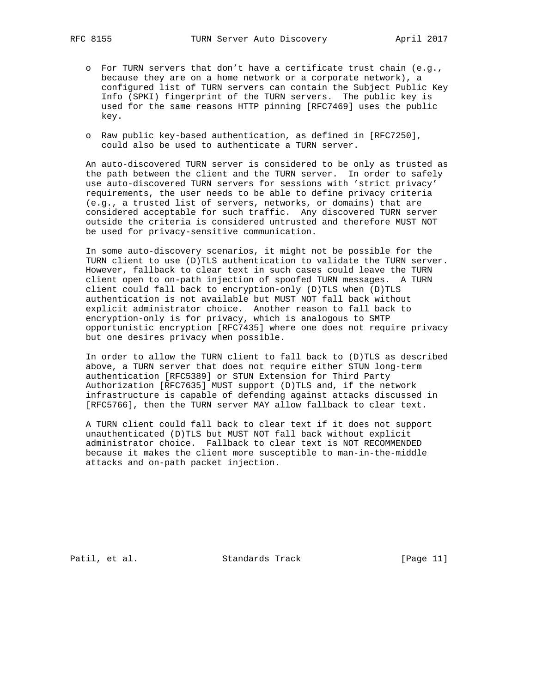- o For TURN servers that don't have a certificate trust chain (e.g., because they are on a home network or a corporate network), a configured list of TURN servers can contain the Subject Public Key Info (SPKI) fingerprint of the TURN servers. The public key is used for the same reasons HTTP pinning [RFC7469] uses the public key.
- o Raw public key-based authentication, as defined in [RFC7250], could also be used to authenticate a TURN server.

 An auto-discovered TURN server is considered to be only as trusted as the path between the client and the TURN server. In order to safely use auto-discovered TURN servers for sessions with 'strict privacy' requirements, the user needs to be able to define privacy criteria (e.g., a trusted list of servers, networks, or domains) that are considered acceptable for such traffic. Any discovered TURN server outside the criteria is considered untrusted and therefore MUST NOT be used for privacy-sensitive communication.

 In some auto-discovery scenarios, it might not be possible for the TURN client to use (D)TLS authentication to validate the TURN server. However, fallback to clear text in such cases could leave the TURN client open to on-path injection of spoofed TURN messages. A TURN client could fall back to encryption-only (D)TLS when (D)TLS authentication is not available but MUST NOT fall back without explicit administrator choice. Another reason to fall back to encryption-only is for privacy, which is analogous to SMTP opportunistic encryption [RFC7435] where one does not require privacy but one desires privacy when possible.

 In order to allow the TURN client to fall back to (D)TLS as described above, a TURN server that does not require either STUN long-term authentication [RFC5389] or STUN Extension for Third Party Authorization [RFC7635] MUST support (D)TLS and, if the network infrastructure is capable of defending against attacks discussed in [RFC5766], then the TURN server MAY allow fallback to clear text.

 A TURN client could fall back to clear text if it does not support unauthenticated (D)TLS but MUST NOT fall back without explicit administrator choice. Fallback to clear text is NOT RECOMMENDED because it makes the client more susceptible to man-in-the-middle attacks and on-path packet injection.

Patil, et al. Standards Track [Page 11]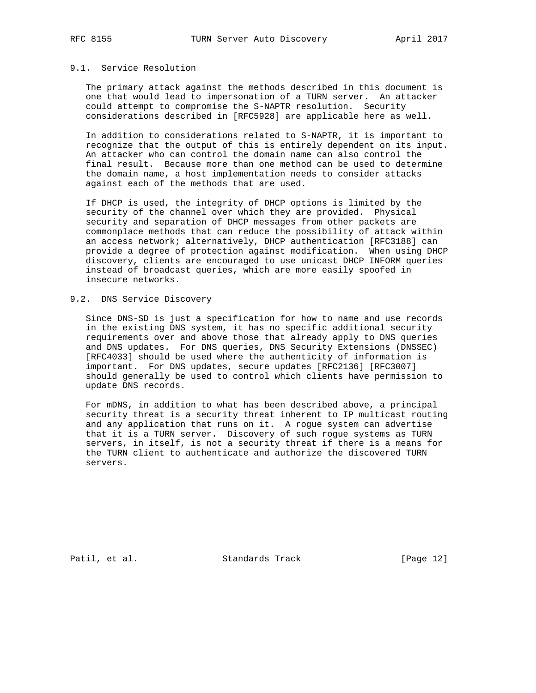## 9.1. Service Resolution

 The primary attack against the methods described in this document is one that would lead to impersonation of a TURN server. An attacker could attempt to compromise the S-NAPTR resolution. Security considerations described in [RFC5928] are applicable here as well.

 In addition to considerations related to S-NAPTR, it is important to recognize that the output of this is entirely dependent on its input. An attacker who can control the domain name can also control the final result. Because more than one method can be used to determine the domain name, a host implementation needs to consider attacks against each of the methods that are used.

 If DHCP is used, the integrity of DHCP options is limited by the security of the channel over which they are provided. Physical security and separation of DHCP messages from other packets are commonplace methods that can reduce the possibility of attack within an access network; alternatively, DHCP authentication [RFC3188] can provide a degree of protection against modification. When using DHCP discovery, clients are encouraged to use unicast DHCP INFORM queries instead of broadcast queries, which are more easily spoofed in insecure networks.

# 9.2. DNS Service Discovery

 Since DNS-SD is just a specification for how to name and use records in the existing DNS system, it has no specific additional security requirements over and above those that already apply to DNS queries and DNS updates. For DNS queries, DNS Security Extensions (DNSSEC) [RFC4033] should be used where the authenticity of information is important. For DNS updates, secure updates [RFC2136] [RFC3007] should generally be used to control which clients have permission to update DNS records.

 For mDNS, in addition to what has been described above, a principal security threat is a security threat inherent to IP multicast routing and any application that runs on it. A rogue system can advertise that it is a TURN server. Discovery of such rogue systems as TURN servers, in itself, is not a security threat if there is a means for the TURN client to authenticate and authorize the discovered TURN servers.

Patil, et al. Standards Track [Page 12]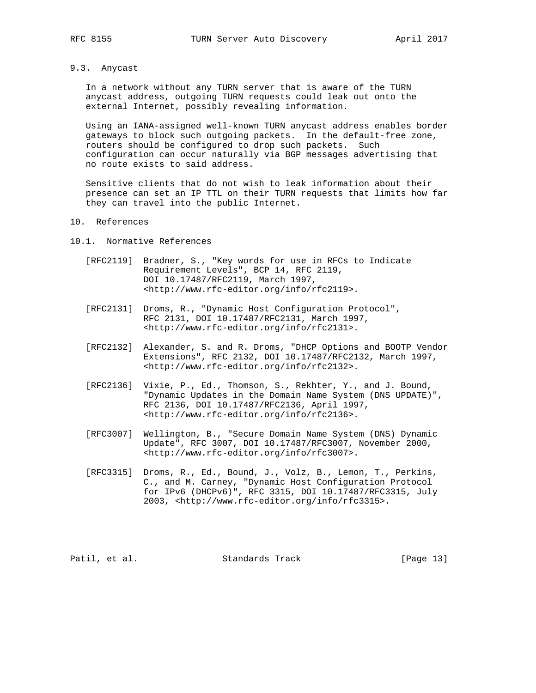# 9.3. Anycast

 In a network without any TURN server that is aware of the TURN anycast address, outgoing TURN requests could leak out onto the external Internet, possibly revealing information.

 Using an IANA-assigned well-known TURN anycast address enables border gateways to block such outgoing packets. In the default-free zone, routers should be configured to drop such packets. Such configuration can occur naturally via BGP messages advertising that no route exists to said address.

 Sensitive clients that do not wish to leak information about their presence can set an IP TTL on their TURN requests that limits how far they can travel into the public Internet.

### 10. References

10.1. Normative References

- [RFC2119] Bradner, S., "Key words for use in RFCs to Indicate Requirement Levels", BCP 14, RFC 2119, DOI 10.17487/RFC2119, March 1997, <http://www.rfc-editor.org/info/rfc2119>.
- [RFC2131] Droms, R., "Dynamic Host Configuration Protocol", RFC 2131, DOI 10.17487/RFC2131, March 1997, <http://www.rfc-editor.org/info/rfc2131>.
- [RFC2132] Alexander, S. and R. Droms, "DHCP Options and BOOTP Vendor Extensions", RFC 2132, DOI 10.17487/RFC2132, March 1997, <http://www.rfc-editor.org/info/rfc2132>.
- [RFC2136] Vixie, P., Ed., Thomson, S., Rekhter, Y., and J. Bound, "Dynamic Updates in the Domain Name System (DNS UPDATE)", RFC 2136, DOI 10.17487/RFC2136, April 1997, <http://www.rfc-editor.org/info/rfc2136>.
- [RFC3007] Wellington, B., "Secure Domain Name System (DNS) Dynamic Update", RFC 3007, DOI 10.17487/RFC3007, November 2000, <http://www.rfc-editor.org/info/rfc3007>.
- [RFC3315] Droms, R., Ed., Bound, J., Volz, B., Lemon, T., Perkins, C., and M. Carney, "Dynamic Host Configuration Protocol for IPv6 (DHCPv6)", RFC 3315, DOI 10.17487/RFC3315, July 2003, <http://www.rfc-editor.org/info/rfc3315>.

Patil, et al. Standards Track [Page 13]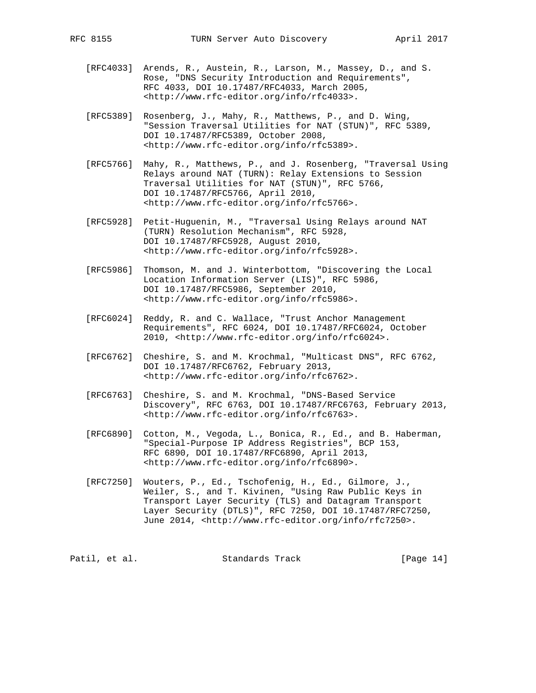- [RFC4033] Arends, R., Austein, R., Larson, M., Massey, D., and S. Rose, "DNS Security Introduction and Requirements", RFC 4033, DOI 10.17487/RFC4033, March 2005, <http://www.rfc-editor.org/info/rfc4033>.
- [RFC5389] Rosenberg, J., Mahy, R., Matthews, P., and D. Wing, "Session Traversal Utilities for NAT (STUN)", RFC 5389, DOI 10.17487/RFC5389, October 2008, <http://www.rfc-editor.org/info/rfc5389>.
- [RFC5766] Mahy, R., Matthews, P., and J. Rosenberg, "Traversal Using Relays around NAT (TURN): Relay Extensions to Session Traversal Utilities for NAT (STUN)", RFC 5766, DOI 10.17487/RFC5766, April 2010, <http://www.rfc-editor.org/info/rfc5766>.
- [RFC5928] Petit-Huguenin, M., "Traversal Using Relays around NAT (TURN) Resolution Mechanism", RFC 5928, DOI 10.17487/RFC5928, August 2010, <http://www.rfc-editor.org/info/rfc5928>.
- [RFC5986] Thomson, M. and J. Winterbottom, "Discovering the Local Location Information Server (LIS)", RFC 5986, DOI 10.17487/RFC5986, September 2010, <http://www.rfc-editor.org/info/rfc5986>.
- [RFC6024] Reddy, R. and C. Wallace, "Trust Anchor Management Requirements", RFC 6024, DOI 10.17487/RFC6024, October 2010, <http://www.rfc-editor.org/info/rfc6024>.
- [RFC6762] Cheshire, S. and M. Krochmal, "Multicast DNS", RFC 6762, DOI 10.17487/RFC6762, February 2013, <http://www.rfc-editor.org/info/rfc6762>.
- [RFC6763] Cheshire, S. and M. Krochmal, "DNS-Based Service Discovery", RFC 6763, DOI 10.17487/RFC6763, February 2013, <http://www.rfc-editor.org/info/rfc6763>.
- [RFC6890] Cotton, M., Vegoda, L., Bonica, R., Ed., and B. Haberman, "Special-Purpose IP Address Registries", BCP 153, RFC 6890, DOI 10.17487/RFC6890, April 2013, <http://www.rfc-editor.org/info/rfc6890>.
- [RFC7250] Wouters, P., Ed., Tschofenig, H., Ed., Gilmore, J., Weiler, S., and T. Kivinen, "Using Raw Public Keys in Transport Layer Security (TLS) and Datagram Transport Layer Security (DTLS)", RFC 7250, DOI 10.17487/RFC7250, June 2014, <http://www.rfc-editor.org/info/rfc7250>.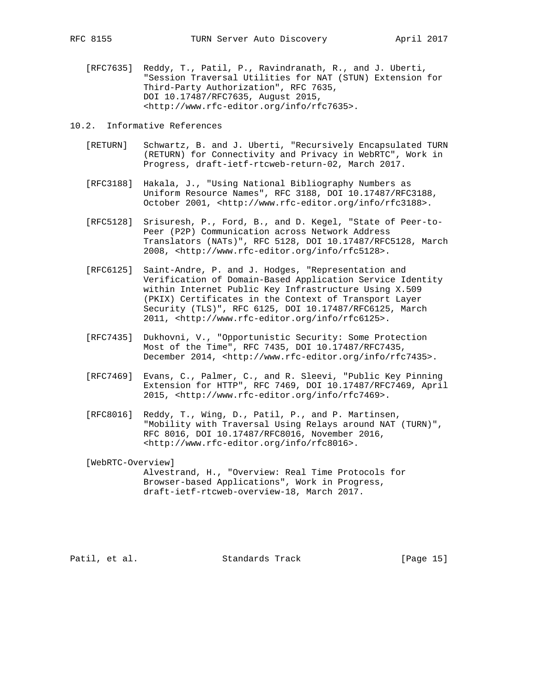[RFC7635] Reddy, T., Patil, P., Ravindranath, R., and J. Uberti, "Session Traversal Utilities for NAT (STUN) Extension for Third-Party Authorization", RFC 7635, DOI 10.17487/RFC7635, August 2015, <http://www.rfc-editor.org/info/rfc7635>.

10.2. Informative References

- [RETURN] Schwartz, B. and J. Uberti, "Recursively Encapsulated TURN (RETURN) for Connectivity and Privacy in WebRTC", Work in Progress, draft-ietf-rtcweb-return-02, March 2017.
- [RFC3188] Hakala, J., "Using National Bibliography Numbers as Uniform Resource Names", RFC 3188, DOI 10.17487/RFC3188, October 2001, <http://www.rfc-editor.org/info/rfc3188>.
- [RFC5128] Srisuresh, P., Ford, B., and D. Kegel, "State of Peer-to- Peer (P2P) Communication across Network Address Translators (NATs)", RFC 5128, DOI 10.17487/RFC5128, March 2008, <http://www.rfc-editor.org/info/rfc5128>.
- [RFC6125] Saint-Andre, P. and J. Hodges, "Representation and Verification of Domain-Based Application Service Identity within Internet Public Key Infrastructure Using X.509 (PKIX) Certificates in the Context of Transport Layer Security (TLS)", RFC 6125, DOI 10.17487/RFC6125, March 2011, <http://www.rfc-editor.org/info/rfc6125>.
- [RFC7435] Dukhovni, V., "Opportunistic Security: Some Protection Most of the Time", RFC 7435, DOI 10.17487/RFC7435, December 2014, <http://www.rfc-editor.org/info/rfc7435>.
- [RFC7469] Evans, C., Palmer, C., and R. Sleevi, "Public Key Pinning Extension for HTTP", RFC 7469, DOI 10.17487/RFC7469, April 2015, <http://www.rfc-editor.org/info/rfc7469>.
- [RFC8016] Reddy, T., Wing, D., Patil, P., and P. Martinsen, "Mobility with Traversal Using Relays around NAT (TURN)", RFC 8016, DOI 10.17487/RFC8016, November 2016, <http://www.rfc-editor.org/info/rfc8016>.

 [WebRTC-Overview] Alvestrand, H., "Overview: Real Time Protocols for Browser-based Applications", Work in Progress, draft-ietf-rtcweb-overview-18, March 2017.

Patil, et al. Standards Track [Page 15]